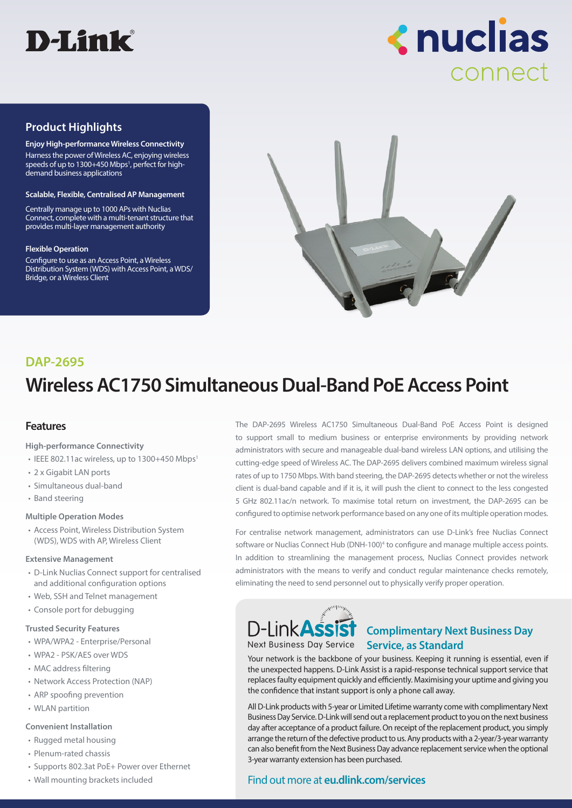



## **Product Highlights**

**Enjoy High-performance Wireless Connectivity** Harness the power of Wireless AC, enjoying wireless speeds of up to 1300+450 Mbps<sup>1</sup>, perfect for highdemand business applications

#### **Scalable, Flexible, Centralised AP Management**

Centrally manage up to 1000 APs with Nuclias Connect, complete with a multi-tenant structure that provides multi-layer management authority

#### **Flexible Operation**

Configure to use as an Access Point, a Wireless Distribution System (WDS) with Access Point, a WDS/ Bridge, or a Wireless Client



## **Wireless AC1750 Simultaneous Dual-Band PoE Access Point DAP-2695**

#### **Features**

**High-performance Connectivity**

- $\cdot$  IEEE 802.11ac wireless, up to 1300+450 Mbps<sup>1</sup>
- 2 x Gigabit LAN ports
- Simultaneous dual-band
- Band steering

#### **Multiple Operation Modes**

• Access Point, Wireless Distribution System (WDS), WDS with AP, Wireless Client

#### **Extensive Management**

- D-Link Nuclias Connect support for centralised and additional configuration options
- Web, SSH and Telnet management
- Console port for debugging

#### **Trusted Security Features**

- WPA/WPA2 Enterprise/Personal
- WPA2 PSK/AES over WDS
- MAC address filtering
- Network Access Protection (NAP)
- ARP spoofing prevention
- WLAN partition

#### **Convenient Installation**

- Rugged metal housing
- Plenum-rated chassis
- Supports 802.3at PoE+ Power over Ethernet
- Wall mounting brackets included

The DAP-2695 Wireless AC1750 Simultaneous Dual-Band PoE Access Point is designed to support small to medium business or enterprise environments by providing network administrators with secure and manageable dual-band wireless LAN options, and utilising the cutting-edge speed of Wireless AC. The DAP-2695 delivers combined maximum wireless signal rates of up to 1750 Mbps. With band steering, the DAP-2695 detects whether or not the wireless client is dual-band capable and if it is, it will push the client to connect to the less congested 5 GHz 802.11ac/n network. To maximise total return on investment, the DAP-2695 can be configured to optimise network performance based on any one of its multiple operation modes.

For centralise network management, administrators can use D-Link's free Nuclias Connect software or Nuclias Connect Hub (DNH-100)<sup>4</sup> to configure and manage multiple access points. In addition to streamlining the management process, Nuclias Connect provides network administrators with the means to verify and conduct regular maintenance checks remotely, eliminating the need to send personnel out to physically verify proper operation.



## **Complimentary Next Business Day**  Next Business Day Service **Service, as Standard**

Your network is the backbone of your business. Keeping it running is essential, even if the unexpected happens. D-Link Assist is a rapid-response technical support service that replaces faulty equipment quickly and efficiently. Maximising your uptime and giving you the confidence that instant support is only a phone call away.

All D-Link products with 5-year or Limited Lifetime warranty come with complimentary Next Business Day Service. D-Link will send out a replacement product to you on the next business day after acceptance of a product failure. On receipt of the replacement product, you simply arrange the return of the defective product to us. Any products with a 2-year/3-year warranty can also benefit from the Next Business Day advance replacement service when the optional 3-year warranty extension has been purchased.

### Find out more at **eu.dlink.com/services**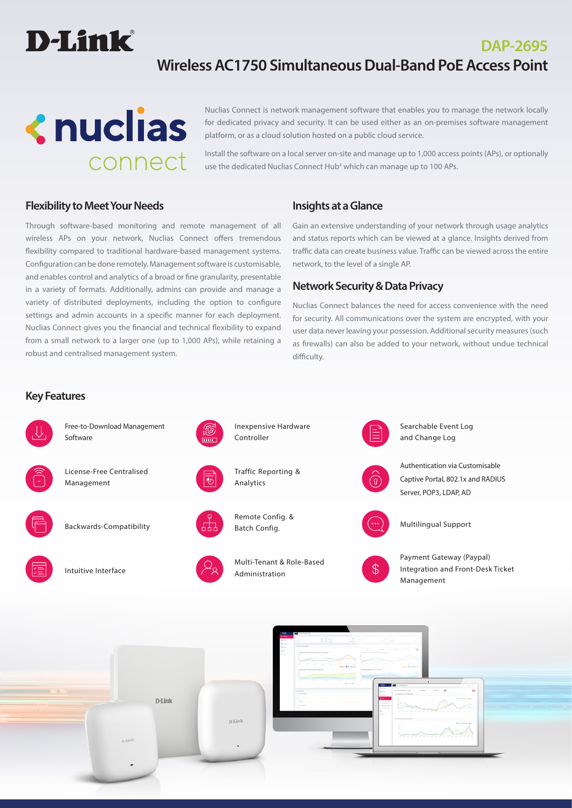

# **Wireless AC1750 Simultaneous Dual-Band PoE Access Point**



Nuclias Connect is network management software that enables you to manage the network locally for dedicated privacy and security. It can be used either as an on-premises software management platform, or as a cloud solution hosted on a public cloud service.

Install the software on a local server on-site and manage up to 1,000 access points (APs), or optionally use the dedicated Nuclias Connect Hub<sup>4</sup> which can manage up to 100 APs.

## **Flexibility to Meet Your Needs**

Through software-based monitoring and remote management of all wireless APs on your network, Nuclias Connect offers tremendous flexibility compared to traditional hardware-based management systems. Configuration can be done remotely. Management software is customisable, and enables control and analytics of a broad or fine granularity, presentable in a variety of formats. Additionally, admins can provide and manage a variety of distributed deployments, including the option to configure settings and admin accounts in a specific manner for each deployment. Nuclias Connect gives you the financial and technical flexibility to expand from a small network to a larger one (up to 1,000 APs), while retaining a robust and centralised management system.

## **Insights at a Glance**

Gain an extensive understanding of your network through usage analytics and status reports which can be viewed at a glance. Insights derived from traffic data can create business value. Traffic can be viewed across the entire network, to the level of a single AP.

**DAP-2695**

### **Network Security & Data Privacy**

Nuclias Connect balances the need for access convenience with the need for security. All communications over the system are encrypted, with your user data never leaving your possession. Additional security measures (such as firewalls) can also be added to your network, without undue technical difficulty.

#### **Key Features**

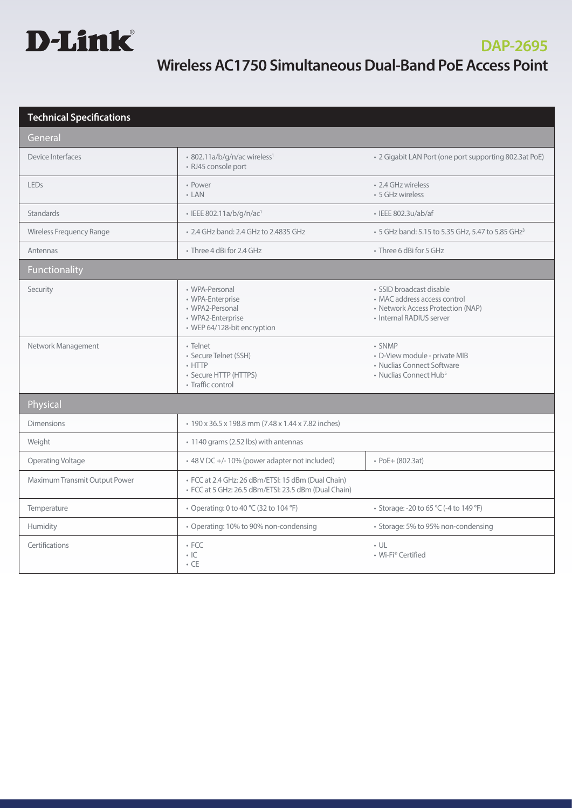

| <b>Technical Specifications</b> |                                                                                                            |                                                                                                                           |
|---------------------------------|------------------------------------------------------------------------------------------------------------|---------------------------------------------------------------------------------------------------------------------------|
| General                         |                                                                                                            |                                                                                                                           |
| Device Interfaces               | · 802.11a/b/g/n/ac wireless <sup>1</sup><br>· RJ45 console port                                            | • 2 Gigabit LAN Port (one port supporting 802.3at PoE)                                                                    |
| <b>LEDs</b>                     | • Power<br>$-LAN$                                                                                          | • 2.4 GHz wireless<br>• 5 GHz wireless                                                                                    |
| <b>Standards</b>                | · IEEE 802.11a/b/g/n/ac1                                                                                   | · IEEE 802.3u/ab/af                                                                                                       |
| Wireless Frequency Range        | • 2.4 GHz band: 2.4 GHz to 2.4835 GHz                                                                      | • 5 GHz band: 5.15 to 5.35 GHz, 5.47 to 5.85 GHz <sup>3</sup>                                                             |
| Antennas                        | • Three 4 dBi for 2.4 GHz                                                                                  | • Three 6 dBi for 5 GHz                                                                                                   |
| Functionality                   |                                                                                                            |                                                                                                                           |
| Security                        | • WPA-Personal<br>• WPA-Enterprise<br>• WPA2-Personal<br>• WPA2-Enterprise<br>• WEP 64/128-bit encryption  | · SSID broadcast disable<br>• MAC address access control<br>• Network Access Protection (NAP)<br>• Internal RADIUS server |
| Network Management              | · Telnet<br>· Secure Telnet (SSH)<br>$\cdot$ HTTP<br>· Secure HTTP (HTTPS)<br>• Traffic control            | • SNMP<br>· D-View module - private MIB<br>• Nuclias Connect Software<br>• Nuclias Connect Hub <sup>5</sup>               |
| Physical                        |                                                                                                            |                                                                                                                           |
| <b>Dimensions</b>               | • 190 x 36.5 x 198.8 mm (7.48 x 1.44 x 7.82 inches)                                                        |                                                                                                                           |
| Weight                          | • 1140 grams (2.52 lbs) with antennas                                                                      |                                                                                                                           |
| Operating Voltage               | + 48 V DC +/-10% (power adapter not included)                                                              | • PoE+ (802.3at)                                                                                                          |
| Maximum Transmit Output Power   | · FCC at 2.4 GHz: 26 dBm/ETSI: 15 dBm (Dual Chain)<br>· FCC at 5 GHz: 26.5 dBm/ETSI: 23.5 dBm (Dual Chain) |                                                                                                                           |
| Temperature                     | • Operating: 0 to 40 °C (32 to 104 °F)                                                                     | • Storage: -20 to 65 °C (-4 to 149 °F)                                                                                    |
| Humidity                        | • Operating: 10% to 90% non-condensing                                                                     | • Storage: 5% to 95% non-condensing                                                                                       |
| Certifications                  | $\cdot$ FCC<br>$\cdot$ IC<br>$\cdot$ CE                                                                    | $\cdot$ UL<br>• Wi-Fi® Certified                                                                                          |